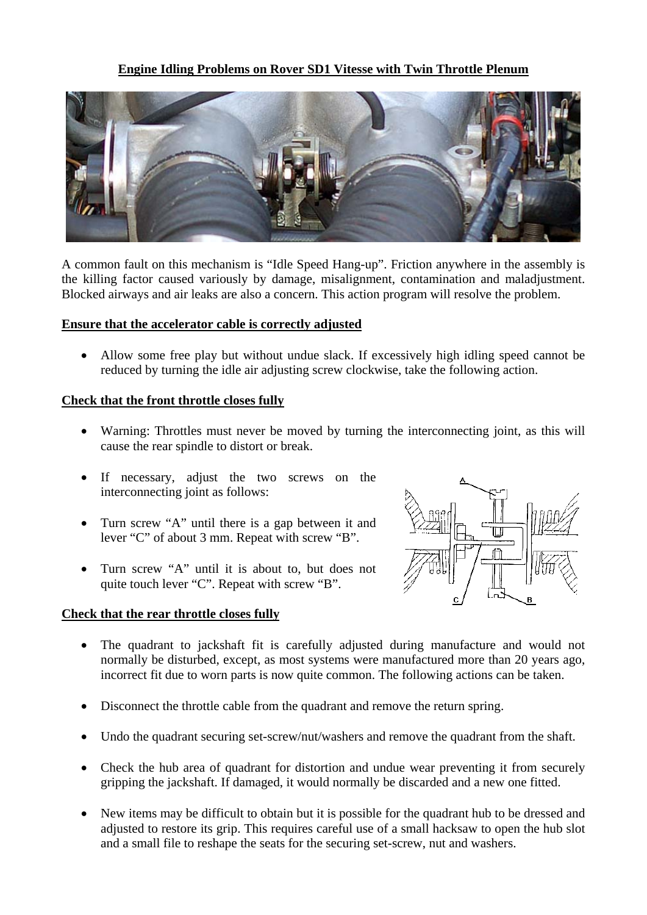## **Engine Idling Problems on Rover SD1 Vitesse with Twin Throttle Plenum**



A common fault on this mechanism is "Idle Speed Hang-up". Friction anywhere in the assembly is the killing factor caused variously by damage, misalignment, contamination and maladjustment. Blocked airways and air leaks are also a concern. This action program will resolve the problem.

#### **Ensure that the accelerator cable is correctly adjusted**

• Allow some free play but without undue slack. If excessively high idling speed cannot be reduced by turning the idle air adjusting screw clockwise, take the following action.

#### **Check that the front throttle closes fully**

- Warning: Throttles must never be moved by turning the interconnecting joint, as this will cause the rear spindle to distort or break.
- If necessary, adjust the two screws on the interconnecting joint as follows:
- Turn screw "A" until there is a gap between it and lever "C" of about 3 mm. Repeat with screw "B".
- Turn screw "A" until it is about to, but does not quite touch lever "C". Repeat with screw "B".

#### **Check that the rear throttle closes fully**



- The quadrant to jackshaft fit is carefully adjusted during manufacture and would not normally be disturbed, except, as most systems were manufactured more than 20 years ago, incorrect fit due to worn parts is now quite common. The following actions can be taken.
- Disconnect the throttle cable from the quadrant and remove the return spring.
- Undo the quadrant securing set-screw/nut/washers and remove the quadrant from the shaft.
- Check the hub area of quadrant for distortion and undue wear preventing it from securely gripping the jackshaft. If damaged, it would normally be discarded and a new one fitted.
- New items may be difficult to obtain but it is possible for the quadrant hub to be dressed and adjusted to restore its grip. This requires careful use of a small hacksaw to open the hub slot and a small file to reshape the seats for the securing set-screw, nut and washers.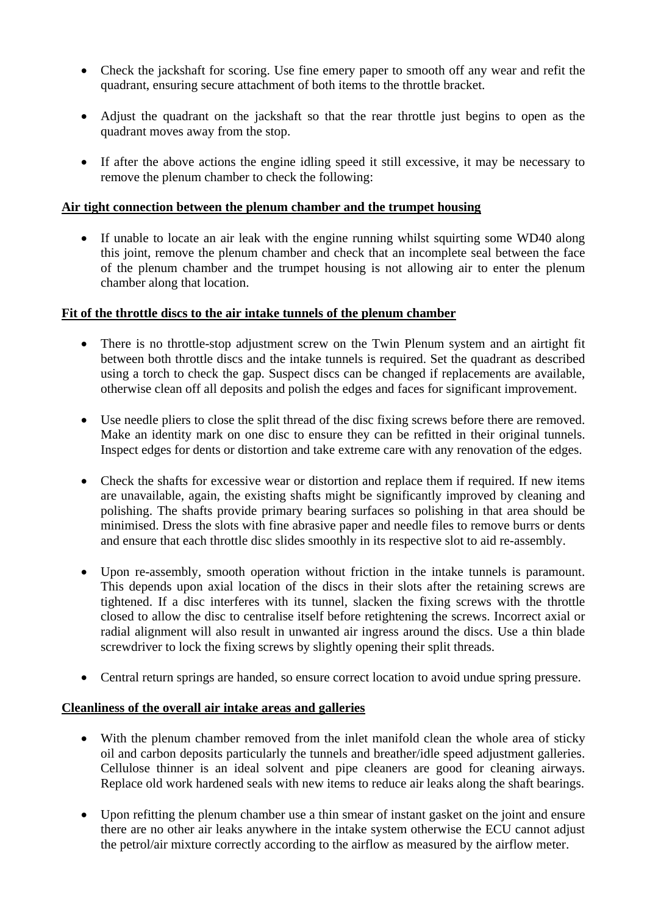- Check the jackshaft for scoring. Use fine emery paper to smooth off any wear and refit the quadrant, ensuring secure attachment of both items to the throttle bracket.
- Adjust the quadrant on the jackshaft so that the rear throttle just begins to open as the quadrant moves away from the stop.
- If after the above actions the engine idling speed it still excessive, it may be necessary to remove the plenum chamber to check the following:

# **Air tight connection between the plenum chamber and the trumpet housing**

• If unable to locate an air leak with the engine running whilst squirting some WD40 along this joint, remove the plenum chamber and check that an incomplete seal between the face of the plenum chamber and the trumpet housing is not allowing air to enter the plenum chamber along that location.

#### **Fit of the throttle discs to the air intake tunnels of the plenum chamber**

- There is no throttle-stop adjustment screw on the Twin Plenum system and an airtight fit between both throttle discs and the intake tunnels is required. Set the quadrant as described using a torch to check the gap. Suspect discs can be changed if replacements are available, otherwise clean off all deposits and polish the edges and faces for significant improvement.
- Use needle pliers to close the split thread of the disc fixing screws before there are removed. Make an identity mark on one disc to ensure they can be refitted in their original tunnels. Inspect edges for dents or distortion and take extreme care with any renovation of the edges.
- Check the shafts for excessive wear or distortion and replace them if required. If new items are unavailable, again, the existing shafts might be significantly improved by cleaning and polishing. The shafts provide primary bearing surfaces so polishing in that area should be minimised. Dress the slots with fine abrasive paper and needle files to remove burrs or dents and ensure that each throttle disc slides smoothly in its respective slot to aid re-assembly.
- Upon re-assembly, smooth operation without friction in the intake tunnels is paramount. This depends upon axial location of the discs in their slots after the retaining screws are tightened. If a disc interferes with its tunnel, slacken the fixing screws with the throttle closed to allow the disc to centralise itself before retightening the screws. Incorrect axial or radial alignment will also result in unwanted air ingress around the discs. Use a thin blade screwdriver to lock the fixing screws by slightly opening their split threads.
- Central return springs are handed, so ensure correct location to avoid undue spring pressure.

# **Cleanliness of the overall air intake areas and galleries**

- With the plenum chamber removed from the inlet manifold clean the whole area of sticky oil and carbon deposits particularly the tunnels and breather/idle speed adjustment galleries. Cellulose thinner is an ideal solvent and pipe cleaners are good for cleaning airways. Replace old work hardened seals with new items to reduce air leaks along the shaft bearings.
- Upon refitting the plenum chamber use a thin smear of instant gasket on the joint and ensure there are no other air leaks anywhere in the intake system otherwise the ECU cannot adjust the petrol/air mixture correctly according to the airflow as measured by the airflow meter.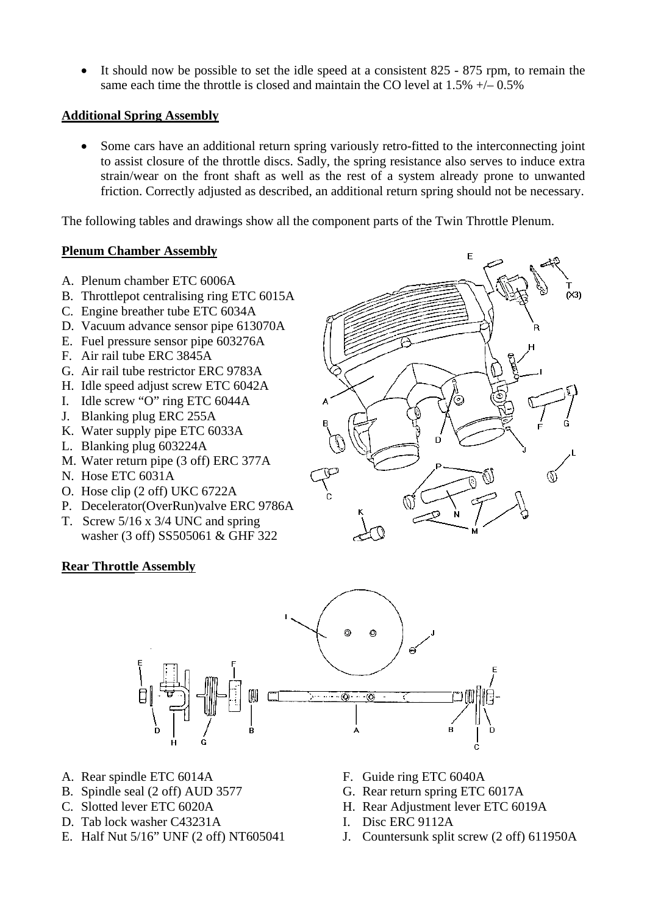• It should now be possible to set the idle speed at a consistent 825 - 875 rpm, to remain the same each time the throttle is closed and maintain the CO level at  $1.5\% +1.65\%$ 

## **Additional Spring Assembly**

• Some cars have an additional return spring variously retro-fitted to the interconnecting joint to assist closure of the throttle discs. Sadly, the spring resistance also serves to induce extra strain/wear on the front shaft as well as the rest of a system already prone to unwanted friction. Correctly adjusted as described, an additional return spring should not be necessary.

The following tables and drawings show all the component parts of the Twin Throttle Plenum.

# **Plenum Chamber Assembly**

- A. Plenum chamber ETC 6006A
- B. Throttlepot centralising ring ETC 6015A
- C. Engine breather tube ETC 6034A
- D. Vacuum advance sensor pipe 613070A
- E. Fuel pressure sensor pipe 603276A
- F. Air rail tube ERC 3845A
- G. Air rail tube restrictor ERC 9783A
- H. Idle speed adjust screw ETC 6042A
- I. Idle screw "O" ring ETC 6044A
- J. Blanking plug ERC 255A
- K. Water supply pipe ETC 6033A
- L. Blanking plug 603224A
- M. Water return pipe (3 off) ERC 377A
- N. Hose ETC 6031A
- O. Hose clip (2 off) UKC 6722A
- P. Decelerator(OverRun)valve ERC 9786A
- T. Screw 5/16 x 3/4 UNC and spring washer (3 off) SS505061 & GHF 322

# **Rear Throttle Assembly**





- A. Rear spindle ETC 6014A
- B. Spindle seal (2 off) AUD 3577
- C. Slotted lever ETC 6020A
- D. Tab lock washer C43231A
- E. Half Nut 5/16" UNF (2 off) NT605041
- F. Guide ring ETC 6040A
- G. Rear return spring ETC 6017A
- H. Rear Adjustment lever ETC 6019A
- I. Disc ERC 9112A
- J. Countersunk split screw (2 off) 611950A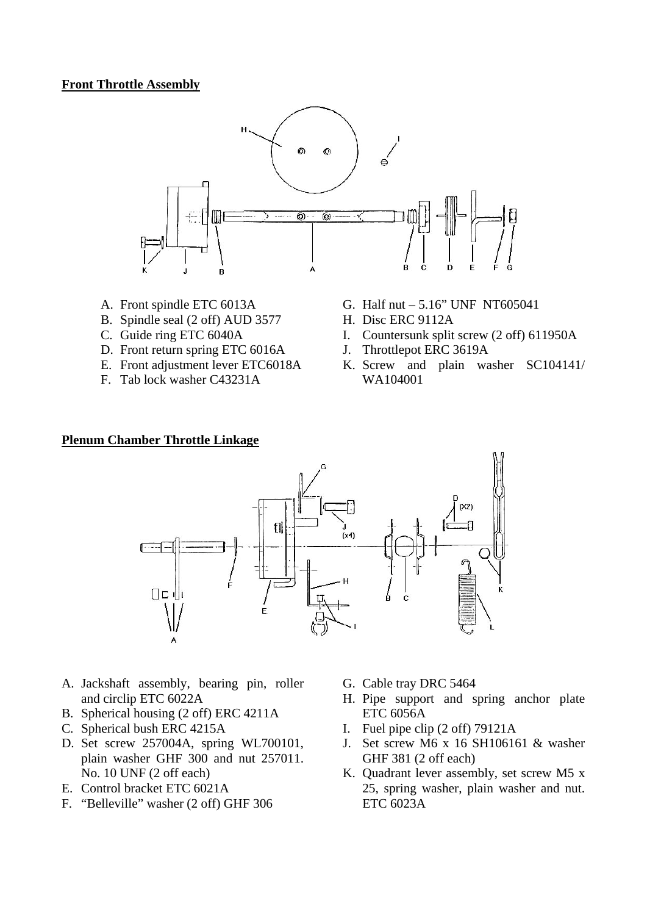#### **Front Throttle Assembly**



- A. Front spindle ETC 6013A
- B. Spindle seal (2 off) AUD 3577
- C. Guide ring ETC 6040A
- D. Front return spring ETC 6016A
- E. Front adjustment lever ETC6018A
- F. Tab lock washer C43231A
- G. Half nut 5.16" UNF NT605041
- H. Disc ERC 9112A
- I. Countersunk split screw (2 off) 611950A
- J. Throttlepot ERC 3619A
- K. Screw and plain washer SC104141/ WA104001

#### **Plenum Chamber Throttle Linkage**



- A. Jackshaft assembly, bearing pin, roller and circlip ETC 6022A
- B. Spherical housing (2 off) ERC 4211A
- C. Spherical bush ERC 4215A
- D. Set screw 257004A, spring WL700101, plain washer GHF 300 and nut 257011. No. 10 UNF (2 off each)
- E. Control bracket ETC 6021A
- F. "Belleville" washer (2 off) GHF 306
- G. Cable tray DRC 5464
- H. Pipe support and spring anchor plate ETC 6056A
- I. Fuel pipe clip (2 off) 79121A
- J. Set screw M6 x 16 SH106161 & washer GHF 381 (2 off each)
- K. Quadrant lever assembly, set screw M5 x 25, spring washer, plain washer and nut. ETC 6023A